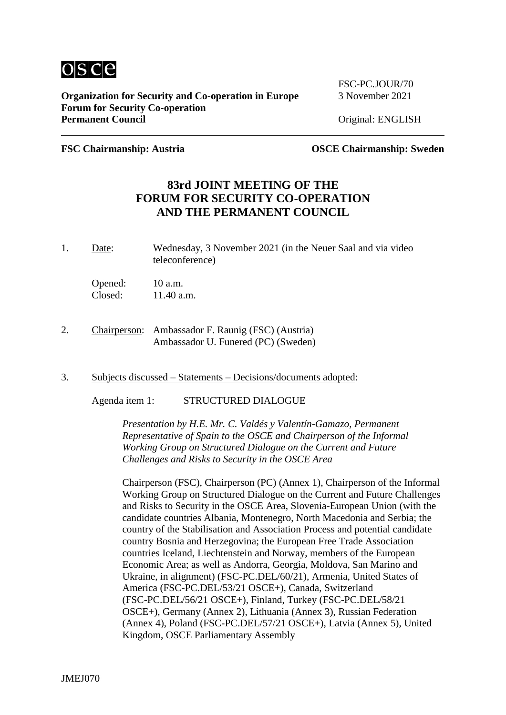

**Organization for Security and Co-operation in Europe** 3 November 2021 **Forum for Security Co-operation** Permanent Council **Council Council Permanent Council Original: ENGLISH** 

FSC-PC.IOUR/70

**FSC Chairmanship: Austria OSCE Chairmanship: Sweden**

# **83rd JOINT MEETING OF THE FORUM FOR SECURITY CO-OPERATION AND THE PERMANENT COUNCIL**

1. Date: Wednesday, 3 November 2021 (in the Neuer Saal and via video teleconference)

Opened: 10 a.m. Closed: 11.40 a.m.

- 2. Chairperson: Ambassador F. Raunig (FSC) (Austria) Ambassador U. Funered (PC) (Sweden)
- 3. Subjects discussed Statements Decisions/documents adopted:

Agenda item 1: STRUCTURED DIALOGUE

*Presentation by H.E. Mr. C. Valdés y Valentín-Gamazo, Permanent Representative of Spain to the OSCE and Chairperson of the Informal Working Group on Structured Dialogue on the Current and Future Challenges and Risks to Security in the OSCE Area*

Chairperson (FSC), Chairperson (PC) (Annex 1), Chairperson of the Informal Working Group on Structured Dialogue on the Current and Future Challenges and Risks to Security in the OSCE Area, Slovenia-European Union (with the candidate countries Albania, Montenegro, North Macedonia and Serbia; the country of the Stabilisation and Association Process and potential candidate country Bosnia and Herzegovina; the European Free Trade Association countries Iceland, Liechtenstein and Norway, members of the European Economic Area; as well as Andorra, Georgia, Moldova, San Marino and Ukraine, in alignment) (FSC-PC.DEL/60/21), Armenia, United States of America (FSC-PC.DEL/53/21 OSCE+), Canada, Switzerland (FSC-PC.DEL/56/21 OSCE+), Finland, Turkey (FSC-PC.DEL/58/21 OSCE+), Germany (Annex 2), Lithuania (Annex 3), Russian Federation (Annex 4), Poland (FSC-PC.DEL/57/21 OSCE+), Latvia (Annex 5), United Kingdom, OSCE Parliamentary Assembly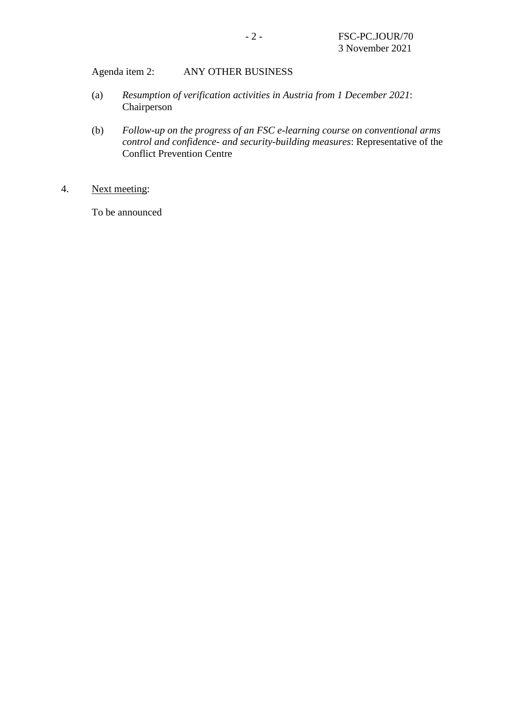Agenda item 2: ANY OTHER BUSINESS

- (a) *Resumption of verification activities in Austria from 1 December 2021*: Chairperson
- (b) *Follow-up on the progress of an FSC e-learning course on conventional arms control and confidence- and security-building measures*: Representative of the Conflict Prevention Centre
- 4. Next meeting:

To be announced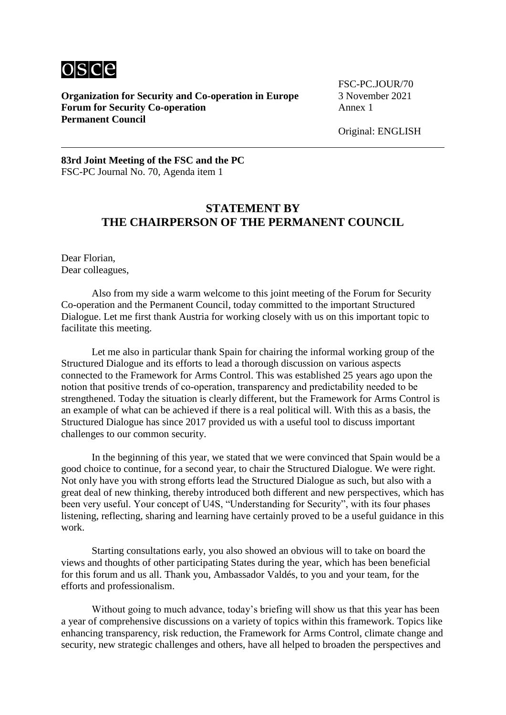

**Organization for Security and Co-operation in Europe** 3 November 2021 **Forum for Security Co-operation** Annex 1 **Permanent Council**

FSC-PC.JOUR/70

Original: ENGLISH

#### **83rd Joint Meeting of the FSC and the PC** FSC-PC Journal No. 70, Agenda item 1

## **STATEMENT BY THE CHAIRPERSON OF THE PERMANENT COUNCIL**

Dear Florian, Dear colleagues,

Also from my side a warm welcome to this joint meeting of the Forum for Security Co-operation and the Permanent Council, today committed to the important Structured Dialogue. Let me first thank Austria for working closely with us on this important topic to facilitate this meeting.

Let me also in particular thank Spain for chairing the informal working group of the Structured Dialogue and its efforts to lead a thorough discussion on various aspects connected to the Framework for Arms Control. This was established 25 years ago upon the notion that positive trends of co‑operation, transparency and predictability needed to be strengthened. Today the situation is clearly different, but the Framework for Arms Control is an example of what can be achieved if there is a real political will. With this as a basis, the Structured Dialogue has since 2017 provided us with a useful tool to discuss important challenges to our common security.

In the beginning of this year, we stated that we were convinced that Spain would be a good choice to continue, for a second year, to chair the Structured Dialogue. We were right. Not only have you with strong efforts lead the Structured Dialogue as such, but also with a great deal of new thinking, thereby introduced both different and new perspectives, which has been very useful. Your concept of U4S, "Understanding for Security", with its four phases listening, reflecting, sharing and learning have certainly proved to be a useful guidance in this work.

Starting consultations early, you also showed an obvious will to take on board the views and thoughts of other participating States during the year, which has been beneficial for this forum and us all. Thank you, Ambassador Valdés, to you and your team, for the efforts and professionalism.

Without going to much advance, today's briefing will show us that this year has been a year of comprehensive discussions on a variety of topics within this framework. Topics like enhancing transparency, risk reduction, the Framework for Arms Control, climate change and security, new strategic challenges and others, have all helped to broaden the perspectives and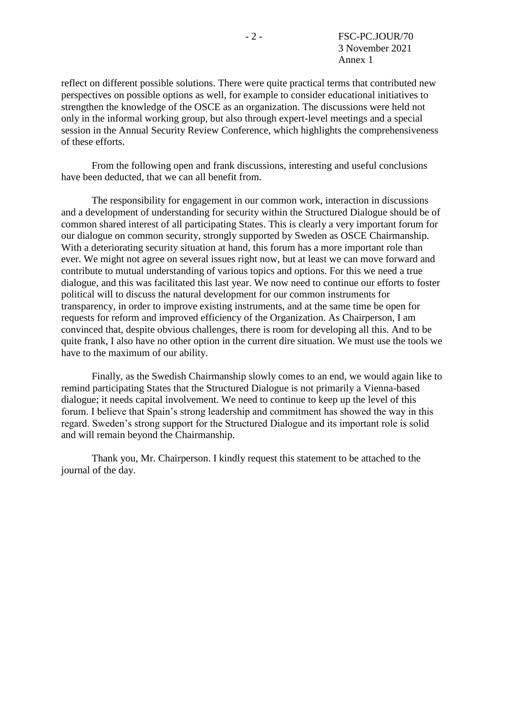reflect on different possible solutions. There were quite practical terms that contributed new perspectives on possible options as well, for example to consider educational initiatives to strengthen the knowledge of the OSCE as an organization. The discussions were held not only in the informal working group, but also through expert-level meetings and a special session in the Annual Security Review Conference, which highlights the comprehensiveness of these efforts.

From the following open and frank discussions, interesting and useful conclusions have been deducted, that we can all benefit from.

The responsibility for engagement in our common work, interaction in discussions and a development of understanding for security within the Structured Dialogue should be of common shared interest of all participating States. This is clearly a very important forum for our dialogue on common security, strongly supported by Sweden as OSCE Chairmanship. With a deteriorating security situation at hand, this forum has a more important role than ever. We might not agree on several issues right now, but at least we can move forward and contribute to mutual understanding of various topics and options. For this we need a true dialogue, and this was facilitated this last year. We now need to continue our efforts to foster political will to discuss the natural development for our common instruments for transparency, in order to improve existing instruments, and at the same time be open for requests for reform and improved efficiency of the Organization. As Chairperson, I am convinced that, despite obvious challenges, there is room for developing all this. And to be quite frank, I also have no other option in the current dire situation. We must use the tools we have to the maximum of our ability.

Finally, as the Swedish Chairmanship slowly comes to an end, we would again like to remind participating States that the Structured Dialogue is not primarily a Vienna-based dialogue; it needs capital involvement. We need to continue to keep up the level of this forum. I believe that Spain's strong leadership and commitment has showed the way in this regard. Sweden's strong support for the Structured Dialogue and its important role is solid and will remain beyond the Chairmanship.

Thank you, Mr. Chairperson. I kindly request this statement to be attached to the journal of the day.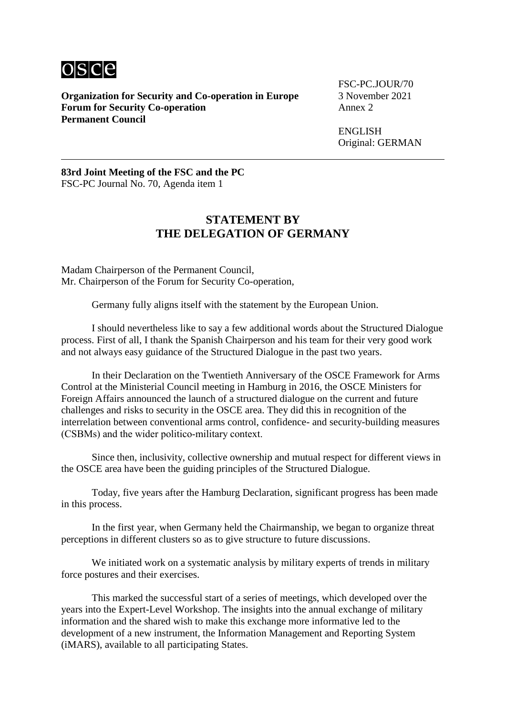

**Organization for Security and Co-operation in Europe** 3 November 2021 **Forum for Security Co-operation Permanent Council**

FSC-PC.JOUR/70

ENGLISH Original: GERMAN

**83rd Joint Meeting of the FSC and the PC** FSC-PC Journal No. 70, Agenda item 1

### **STATEMENT BY THE DELEGATION OF GERMANY**

Madam Chairperson of the Permanent Council, Mr. Chairperson of the Forum for Security Co-operation,

Germany fully aligns itself with the statement by the European Union.

I should nevertheless like to say a few additional words about the Structured Dialogue process. First of all, I thank the Spanish Chairperson and his team for their very good work and not always easy guidance of the Structured Dialogue in the past two years.

In their Declaration on the Twentieth Anniversary of the OSCE Framework for Arms Control at the Ministerial Council meeting in Hamburg in 2016, the OSCE Ministers for Foreign Affairs announced the launch of a structured dialogue on the current and future challenges and risks to security in the OSCE area. They did this in recognition of the interrelation between conventional arms control, confidence- and security-building measures (CSBMs) and the wider politico-military context.

Since then, inclusivity, collective ownership and mutual respect for different views in the OSCE area have been the guiding principles of the Structured Dialogue.

Today, five years after the Hamburg Declaration, significant progress has been made in this process.

In the first year, when Germany held the Chairmanship, we began to organize threat perceptions in different clusters so as to give structure to future discussions.

We initiated work on a systematic analysis by military experts of trends in military force postures and their exercises.

This marked the successful start of a series of meetings, which developed over the years into the Expert-Level Workshop. The insights into the annual exchange of military information and the shared wish to make this exchange more informative led to the development of a new instrument, the Information Management and Reporting System (iMARS), available to all participating States.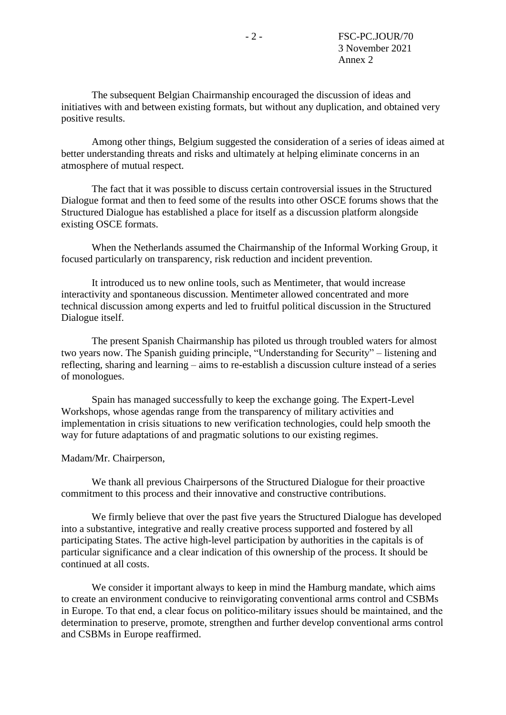The subsequent Belgian Chairmanship encouraged the discussion of ideas and initiatives with and between existing formats, but without any duplication, and obtained very positive results.

Among other things, Belgium suggested the consideration of a series of ideas aimed at better understanding threats and risks and ultimately at helping eliminate concerns in an atmosphere of mutual respect.

The fact that it was possible to discuss certain controversial issues in the Structured Dialogue format and then to feed some of the results into other OSCE forums shows that the Structured Dialogue has established a place for itself as a discussion platform alongside existing OSCE formats.

When the Netherlands assumed the Chairmanship of the Informal Working Group, it focused particularly on transparency, risk reduction and incident prevention.

It introduced us to new online tools, such as Mentimeter, that would increase interactivity and spontaneous discussion. Mentimeter allowed concentrated and more technical discussion among experts and led to fruitful political discussion in the Structured Dialogue itself.

The present Spanish Chairmanship has piloted us through troubled waters for almost two years now. The Spanish guiding principle, "Understanding for Security" – listening and reflecting, sharing and learning – aims to re-establish a discussion culture instead of a series of monologues.

Spain has managed successfully to keep the exchange going. The Expert-Level Workshops, whose agendas range from the transparency of military activities and implementation in crisis situations to new verification technologies, could help smooth the way for future adaptations of and pragmatic solutions to our existing regimes.

#### Madam/Mr. Chairperson,

We thank all previous Chairpersons of the Structured Dialogue for their proactive commitment to this process and their innovative and constructive contributions.

We firmly believe that over the past five years the Structured Dialogue has developed into a substantive, integrative and really creative process supported and fostered by all participating States. The active high-level participation by authorities in the capitals is of particular significance and a clear indication of this ownership of the process. It should be continued at all costs.

We consider it important always to keep in mind the Hamburg mandate, which aims to create an environment conducive to reinvigorating conventional arms control and CSBMs in Europe. To that end, a clear focus on politico-military issues should be maintained, and the determination to preserve, promote, strengthen and further develop conventional arms control and CSBMs in Europe reaffirmed.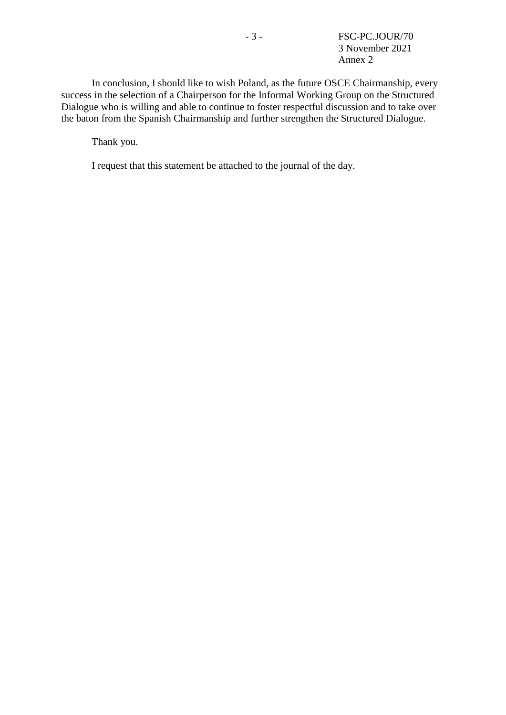In conclusion, I should like to wish Poland, as the future OSCE Chairmanship, every success in the selection of a Chairperson for the Informal Working Group on the Structured Dialogue who is willing and able to continue to foster respectful discussion and to take over the baton from the Spanish Chairmanship and further strengthen the Structured Dialogue.

Thank you.

I request that this statement be attached to the journal of the day.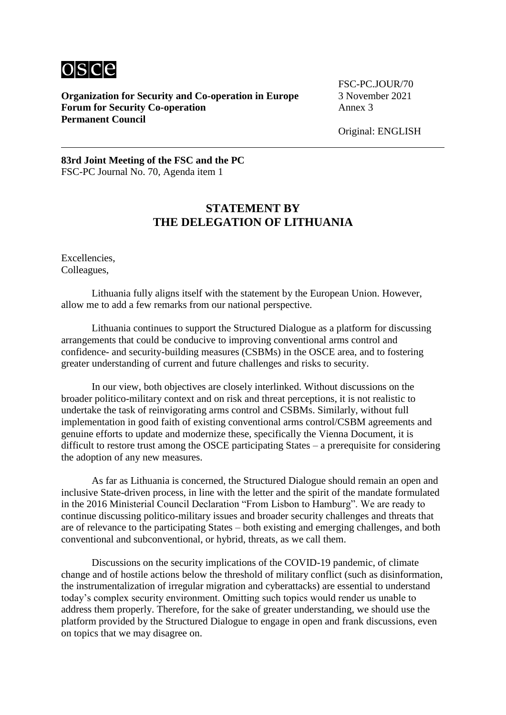

**Organization for Security and Co-operation in Europe** 3 November 2021 **Forum for Security Co-operation** Annex 3 **Permanent Council**

FSC-PC.JOUR/70

Original: ENGLISH

**83rd Joint Meeting of the FSC and the PC** FSC-PC Journal No. 70, Agenda item 1

## **STATEMENT BY THE DELEGATION OF LITHUANIA**

Excellencies, Colleagues,

Lithuania fully aligns itself with the statement by the European Union. However, allow me to add a few remarks from our national perspective.

Lithuania continues to support the Structured Dialogue as a platform for discussing arrangements that could be conducive to improving conventional arms control and confidence- and security-building measures (CSBMs) in the OSCE area, and to fostering greater understanding of current and future challenges and risks to security.

In our view, both objectives are closely interlinked. Without discussions on the broader politico-military context and on risk and threat perceptions, it is not realistic to undertake the task of reinvigorating arms control and CSBMs. Similarly, without full implementation in good faith of existing conventional arms control/CSBM agreements and genuine efforts to update and modernize these, specifically the Vienna Document, it is difficult to restore trust among the OSCE participating States – a prerequisite for considering the adoption of any new measures.

As far as Lithuania is concerned, the Structured Dialogue should remain an open and inclusive State-driven process, in line with the letter and the spirit of the mandate formulated in the 2016 Ministerial Council Declaration "From Lisbon to Hamburg". We are ready to continue discussing politico-military issues and broader security challenges and threats that are of relevance to the participating States – both existing and emerging challenges, and both conventional and subconventional, or hybrid, threats, as we call them.

Discussions on the security implications of the COVID-19 pandemic, of climate change and of hostile actions below the threshold of military conflict (such as disinformation, the instrumentalization of irregular migration and cyberattacks) are essential to understand today's complex security environment. Omitting such topics would render us unable to address them properly. Therefore, for the sake of greater understanding, we should use the platform provided by the Structured Dialogue to engage in open and frank discussions, even on topics that we may disagree on.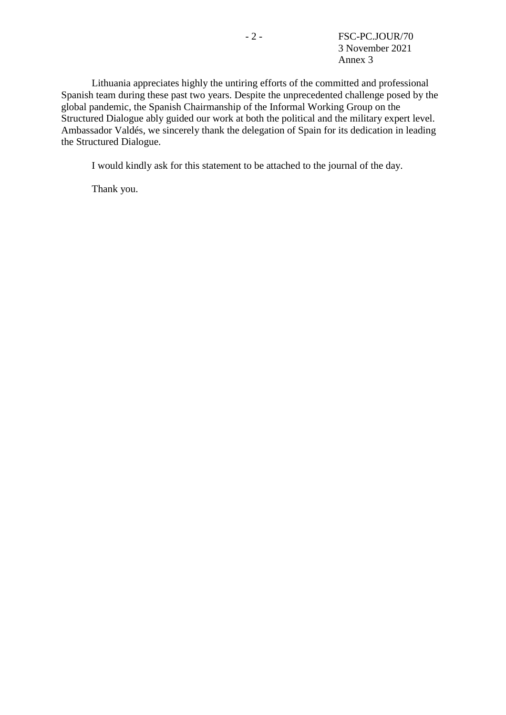Lithuania appreciates highly the untiring efforts of the committed and professional Spanish team during these past two years. Despite the unprecedented challenge posed by the global pandemic, the Spanish Chairmanship of the Informal Working Group on the Structured Dialogue ably guided our work at both the political and the military expert level. Ambassador Valdés, we sincerely thank the delegation of Spain for its dedication in leading the Structured Dialogue.

I would kindly ask for this statement to be attached to the journal of the day.

Thank you.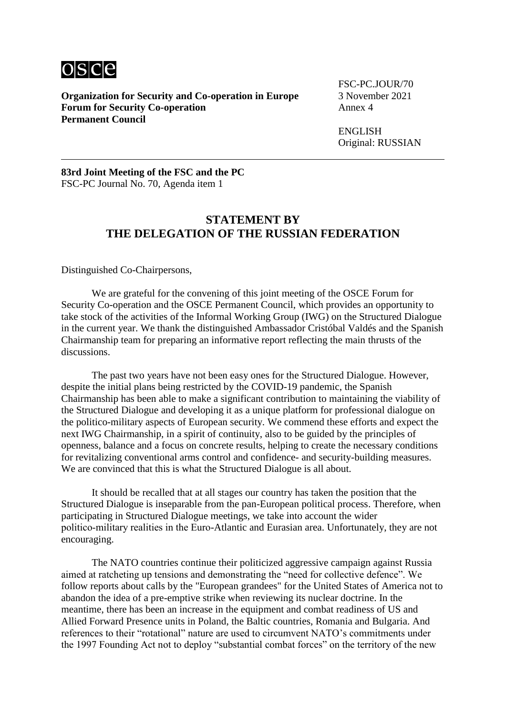

**Organization for Security and Co-operation in Europe** 3 November 2021 **Forum for Security Co-operation Permanent Council**

FSC-PC.JOUR/70

ENGLISH Original: RUSSIAN

**83rd Joint Meeting of the FSC and the PC** FSC-PC Journal No. 70, Agenda item 1

### **STATEMENT BY THE DELEGATION OF THE RUSSIAN FEDERATION**

Distinguished Co-Chairpersons,

We are grateful for the convening of this joint meeting of the OSCE Forum for Security Co-operation and the OSCE Permanent Council, which provides an opportunity to take stock of the activities of the Informal Working Group (IWG) on the Structured Dialogue in the current year. We thank the distinguished Ambassador Cristóbal Valdés and the Spanish Chairmanship team for preparing an informative report reflecting the main thrusts of the discussions.

The past two years have not been easy ones for the Structured Dialogue. However, despite the initial plans being restricted by the COVID-19 pandemic, the Spanish Chairmanship has been able to make a significant contribution to maintaining the viability of the Structured Dialogue and developing it as a unique platform for professional dialogue on the politico-military aspects of European security. We commend these efforts and expect the next IWG Chairmanship, in a spirit of continuity, also to be guided by the principles of openness, balance and a focus on concrete results, helping to create the necessary conditions for revitalizing conventional arms control and confidence- and security-building measures. We are convinced that this is what the Structured Dialogue is all about.

It should be recalled that at all stages our country has taken the position that the Structured Dialogue is inseparable from the pan-European political process. Therefore, when participating in Structured Dialogue meetings, we take into account the wider politico‑military realities in the Euro-Atlantic and Eurasian area. Unfortunately, they are not encouraging.

The NATO countries continue their politicized aggressive campaign against Russia aimed at ratcheting up tensions and demonstrating the "need for collective defence". We follow reports about calls by the "European grandees" for the United States of America not to abandon the idea of a pre-emptive strike when reviewing its nuclear doctrine. In the meantime, there has been an increase in the equipment and combat readiness of US and Allied Forward Presence units in Poland, the Baltic countries, Romania and Bulgaria. And references to their "rotational" nature are used to circumvent NATO's commitments under the 1997 Founding Act not to deploy "substantial combat forces" on the territory of the new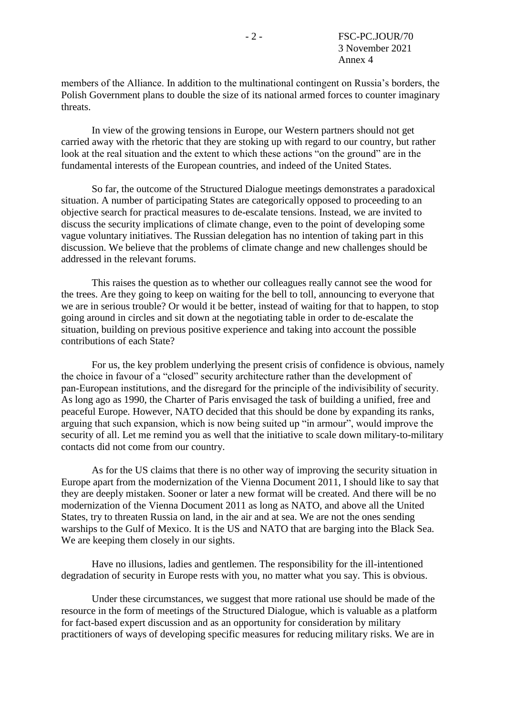members of the Alliance. In addition to the multinational contingent on Russia's borders, the Polish Government plans to double the size of its national armed forces to counter imaginary threats.

In view of the growing tensions in Europe, our Western partners should not get carried away with the rhetoric that they are stoking up with regard to our country, but rather look at the real situation and the extent to which these actions "on the ground" are in the fundamental interests of the European countries, and indeed of the United States.

So far, the outcome of the Structured Dialogue meetings demonstrates a paradoxical situation. A number of participating States are categorically opposed to proceeding to an objective search for practical measures to de-escalate tensions. Instead, we are invited to discuss the security implications of climate change, even to the point of developing some vague voluntary initiatives. The Russian delegation has no intention of taking part in this discussion. We believe that the problems of climate change and new challenges should be addressed in the relevant forums.

This raises the question as to whether our colleagues really cannot see the wood for the trees. Are they going to keep on waiting for the bell to toll, announcing to everyone that we are in serious trouble? Or would it be better, instead of waiting for that to happen, to stop going around in circles and sit down at the negotiating table in order to de-escalate the situation, building on previous positive experience and taking into account the possible contributions of each State?

For us, the key problem underlying the present crisis of confidence is obvious, namely the choice in favour of a "closed" security architecture rather than the development of pan‑European institutions, and the disregard for the principle of the indivisibility of security. As long ago as 1990, the Charter of Paris envisaged the task of building a unified, free and peaceful Europe. However, NATO decided that this should be done by expanding its ranks, arguing that such expansion, which is now being suited up "in armour", would improve the security of all. Let me remind you as well that the initiative to scale down military-to-military contacts did not come from our country.

As for the US claims that there is no other way of improving the security situation in Europe apart from the modernization of the Vienna Document 2011, I should like to say that they are deeply mistaken. Sooner or later a new format will be created. And there will be no modernization of the Vienna Document 2011 as long as NATO, and above all the United States, try to threaten Russia on land, in the air and at sea. We are not the ones sending warships to the Gulf of Mexico. It is the US and NATO that are barging into the Black Sea. We are keeping them closely in our sights.

Have no illusions, ladies and gentlemen. The responsibility for the ill-intentioned degradation of security in Europe rests with you, no matter what you say. This is obvious.

Under these circumstances, we suggest that more rational use should be made of the resource in the form of meetings of the Structured Dialogue, which is valuable as a platform for fact-based expert discussion and as an opportunity for consideration by military practitioners of ways of developing specific measures for reducing military risks. We are in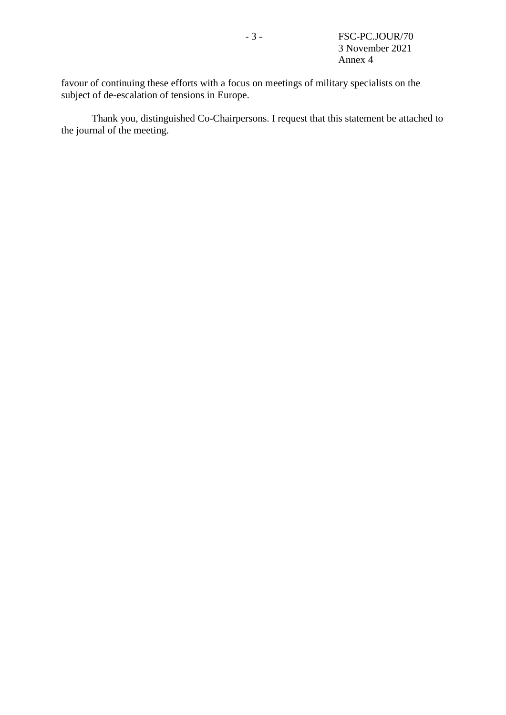favour of continuing these efforts with a focus on meetings of military specialists on the subject of de-escalation of tensions in Europe.

Thank you, distinguished Co-Chairpersons. I request that this statement be attached to the journal of the meeting.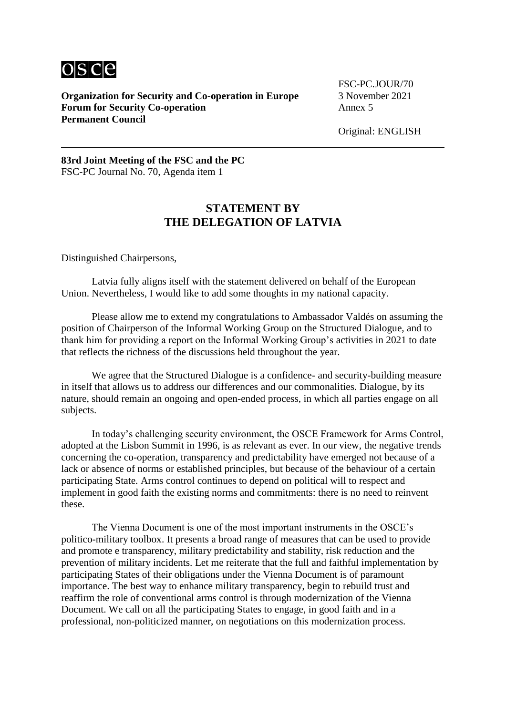

**Organization for Security and Co-operation in Europe** 3 November 2021 **Forum for Security Co-operation** Annex 5 **Permanent Council**

FSC-PC.JOUR/70

Original: ENGLISH

**83rd Joint Meeting of the FSC and the PC** FSC-PC Journal No. 70, Agenda item 1

## **STATEMENT BY THE DELEGATION OF LATVIA**

Distinguished Chairpersons,

Latvia fully aligns itself with the statement delivered on behalf of the European Union. Nevertheless, I would like to add some thoughts in my national capacity.

Please allow me to extend my congratulations to Ambassador Valdés on assuming the position of Chairperson of the Informal Working Group on the Structured Dialogue, and to thank him for providing a report on the Informal Working Group's activities in 2021 to date that reflects the richness of the discussions held throughout the year.

We agree that the Structured Dialogue is a confidence- and security-building measure in itself that allows us to address our differences and our commonalities. Dialogue, by its nature, should remain an ongoing and open-ended process, in which all parties engage on all subjects.

In today's challenging security environment, the OSCE Framework for Arms Control, adopted at the Lisbon Summit in 1996, is as relevant as ever. In our view, the negative trends concerning the co-operation, transparency and predictability have emerged not because of a lack or absence of norms or established principles, but because of the behaviour of a certain participating State. Arms control continues to depend on political will to respect and implement in good faith the existing norms and commitments: there is no need to reinvent these.

The Vienna Document is one of the most important instruments in the OSCE's politico-military toolbox. It presents a broad range of measures that can be used to provide and promote e transparency, military predictability and stability, risk reduction and the prevention of military incidents. Let me reiterate that the full and faithful implementation by participating States of their obligations under the Vienna Document is of paramount importance. The best way to enhance military transparency, begin to rebuild trust and reaffirm the role of conventional arms control is through modernization of the Vienna Document. We call on all the participating States to engage, in good faith and in a professional, non-politicized manner, on negotiations on this modernization process.